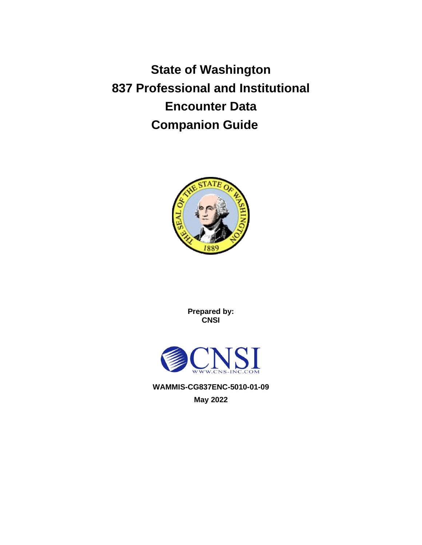**State of Washington 837 Professional and Institutional Encounter Data Companion Guide**



**Prepared by: CNSI**



**WAMMIS-CG837ENC-5010-01-09 May 2022**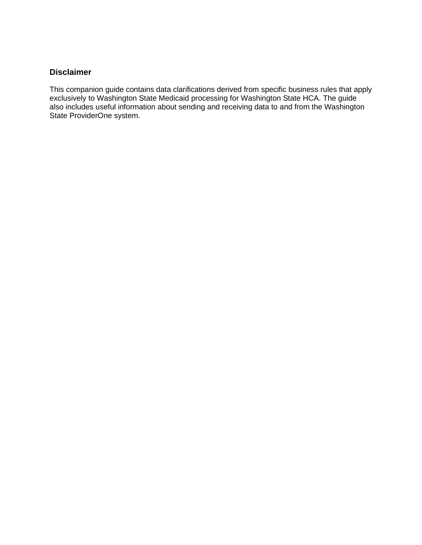#### <span id="page-1-0"></span>**Disclaimer**

This companion guide contains data clarifications derived from specific business rules that apply exclusively to Washington State Medicaid processing for Washington State HCA. The guide also includes useful information about sending and receiving data to and from the Washington State ProviderOne system.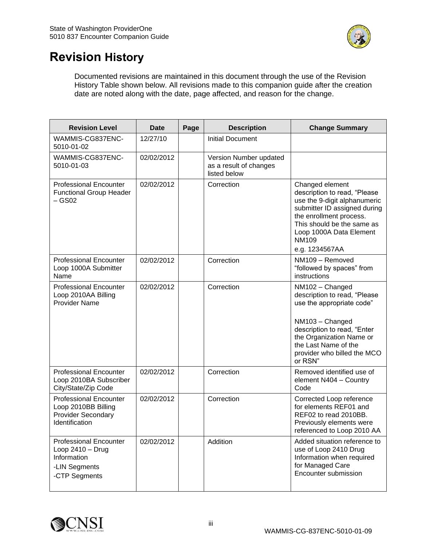

# <span id="page-2-0"></span>**Revision History**

Documented revisions are maintained in this document through the use of the Revision History Table shown below. All revisions made to this companion guide after the creation date are noted along with the date, page affected, and reason for the change.

| <b>Revision Level</b>                                                                                | <b>Date</b>              | Page | <b>Description</b>                                               | <b>Change Summary</b>                                                                                                                                                                                                                 |  |  |  |
|------------------------------------------------------------------------------------------------------|--------------------------|------|------------------------------------------------------------------|---------------------------------------------------------------------------------------------------------------------------------------------------------------------------------------------------------------------------------------|--|--|--|
| WAMMIS-CG837ENC-<br>5010-01-02                                                                       | 12/27/10                 |      | <b>Initial Document</b>                                          |                                                                                                                                                                                                                                       |  |  |  |
| WAMMIS-CG837ENC-<br>5010-01-03                                                                       | 02/02/2012               |      | Version Number updated<br>as a result of changes<br>listed below |                                                                                                                                                                                                                                       |  |  |  |
| <b>Professional Encounter</b><br><b>Functional Group Header</b><br>$-$ GS02                          | 02/02/2012               |      | Correction                                                       | Changed element<br>description to read, "Please<br>use the 9-digit alphanumeric<br>submitter ID assigned during<br>the enrollment process.<br>This should be the same as<br>Loop 1000A Data Element<br><b>NM109</b><br>e.g. 1234567AA |  |  |  |
| <b>Professional Encounter</b><br>Loop 1000A Submitter<br>Name                                        | 02/02/2012               |      | Correction                                                       | NM109 - Removed<br>"followed by spaces" from<br>instructions                                                                                                                                                                          |  |  |  |
| <b>Professional Encounter</b><br>Loop 2010AA Billing<br><b>Provider Name</b>                         | 02/02/2012               |      | Correction                                                       | NM102 - Changed<br>description to read, "Please<br>use the appropriate code"<br>NM103 - Changed<br>description to read, "Enter<br>the Organization Name or<br>the Last Name of the<br>provider who billed the MCO<br>or RSN"          |  |  |  |
| <b>Professional Encounter</b><br>Loop 2010BA Subscriber<br>City/State/Zip Code                       | 02/02/2012               |      | Correction                                                       | Removed identified use of<br>element N404 - Country<br>Code                                                                                                                                                                           |  |  |  |
| <b>Professional Encounter</b><br>Loop 2010BB Billing<br><b>Provider Secondary</b><br>Identification  | 02/02/2012<br>Correction |      |                                                                  | Corrected Loop reference<br>for elements REF01 and<br>REF02 to read 2010BB.<br>Previously elements were<br>referenced to Loop 2010 AA                                                                                                 |  |  |  |
| <b>Professional Encounter</b><br>Loop $2410 - Drug$<br>Information<br>-LIN Segments<br>-CTP Segments | 02/02/2012               |      | Addition                                                         | Added situation reference to<br>use of Loop 2410 Drug<br>Information when required<br>for Managed Care<br>Encounter submission                                                                                                        |  |  |  |

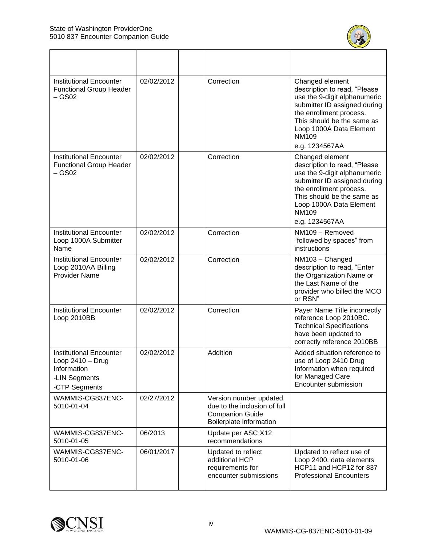

| <b>Institutional Encounter</b><br><b>Functional Group Header</b><br>$-$ GS02                          | 02/02/2012 | Correction                                                                                                  | Changed element<br>description to read, "Please<br>use the 9-digit alphanumeric<br>submitter ID assigned during<br>the enrollment process.<br>This should be the same as<br>Loop 1000A Data Element<br><b>NM109</b><br>e.g. 1234567AA |
|-------------------------------------------------------------------------------------------------------|------------|-------------------------------------------------------------------------------------------------------------|---------------------------------------------------------------------------------------------------------------------------------------------------------------------------------------------------------------------------------------|
| <b>Institutional Encounter</b><br><b>Functional Group Header</b><br>$-$ GS02                          | 02/02/2012 | Correction                                                                                                  | Changed element<br>description to read, "Please<br>use the 9-digit alphanumeric<br>submitter ID assigned during<br>the enrollment process.<br>This should be the same as<br>Loop 1000A Data Element<br>NM109<br>e.g. 1234567AA        |
| <b>Institutional Encounter</b><br>Loop 1000A Submitter<br>Name                                        | 02/02/2012 | Correction                                                                                                  | NM109 - Removed<br>"followed by spaces" from<br>instructions                                                                                                                                                                          |
| <b>Institutional Encounter</b><br>Loop 2010AA Billing<br><b>Provider Name</b>                         | 02/02/2012 | Correction                                                                                                  | NM103 - Changed<br>description to read, "Enter<br>the Organization Name or<br>the Last Name of the<br>provider who billed the MCO<br>or RSN"                                                                                          |
| <b>Institutional Encounter</b><br>Loop 2010BB                                                         | 02/02/2012 | Correction                                                                                                  | Payer Name Title incorrectly<br>reference Loop 2010BC.<br><b>Technical Specifications</b><br>have been updated to<br>correctly reference 2010BB                                                                                       |
| <b>Institutional Encounter</b><br>Loop $2410 - Drug$<br>Information<br>-LIN Segments<br>-CTP Segments | 02/02/2012 | Addition                                                                                                    | Added situation reference to<br>use of Loop 2410 Drug<br>Information when required<br>for Managed Care<br>Encounter submission                                                                                                        |
| WAMMIS-CG837ENC-<br>5010-01-04                                                                        | 02/27/2012 | Version number updated<br>due to the inclusion of full<br><b>Companion Guide</b><br>Boilerplate information |                                                                                                                                                                                                                                       |
| WAMMIS-CG837ENC-<br>5010-01-05                                                                        | 06/2013    | Update per ASC X12<br>recommendations                                                                       |                                                                                                                                                                                                                                       |
| WAMMIS-CG837ENC-<br>5010-01-06                                                                        | 06/01/2017 | Updated to reflect<br>additional HCP<br>requirements for<br>encounter submissions                           | Updated to reflect use of<br>Loop 2400, data elements<br>HCP11 and HCP12 for 837<br><b>Professional Encounters</b>                                                                                                                    |

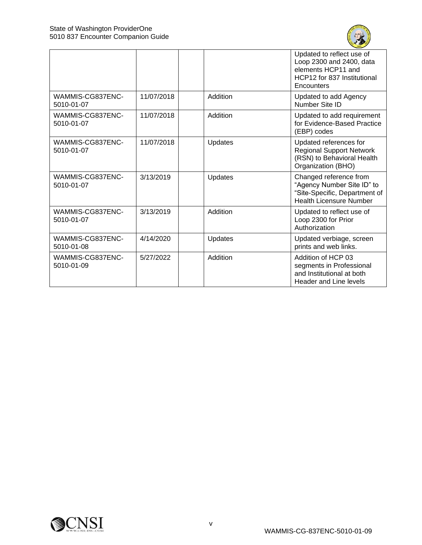

|                                |            |          | Updated to reflect use of<br>Loop 2300 and 2400, data<br>elements HCP11 and<br>HCP12 for 837 Institutional<br>Encounters |
|--------------------------------|------------|----------|--------------------------------------------------------------------------------------------------------------------------|
| WAMMIS-CG837ENC-<br>5010-01-07 | 11/07/2018 | Addition | Updated to add Agency<br>Number Site ID                                                                                  |
| WAMMIS-CG837ENC-<br>5010-01-07 | 11/07/2018 | Addition | Updated to add requirement<br>for Evidence-Based Practice<br>(EBP) codes                                                 |
| WAMMIS-CG837ENC-<br>5010-01-07 | 11/07/2018 | Updates  | Updated references for<br><b>Regional Support Network</b><br>(RSN) to Behavioral Health<br>Organization (BHO)            |
| WAMMIS-CG837ENC-<br>5010-01-07 | 3/13/2019  | Updates  | Changed reference from<br>"Agency Number Site ID" to<br>"Site-Specific, Department of<br><b>Health Licensure Number</b>  |
| WAMMIS-CG837ENC-<br>5010-01-07 | 3/13/2019  | Addition | Updated to reflect use of<br>Loop 2300 for Prior<br>Authorization                                                        |
| WAMMIS-CG837ENC-<br>5010-01-08 | 4/14/2020  | Updates  | Updated verbiage, screen<br>prints and web links.                                                                        |
| WAMMIS-CG837ENC-<br>5010-01-09 | 5/27/2022  | Addition | Addition of HCP 03<br>segments in Professional<br>and Institutional at both<br><b>Header and Line levels</b>             |

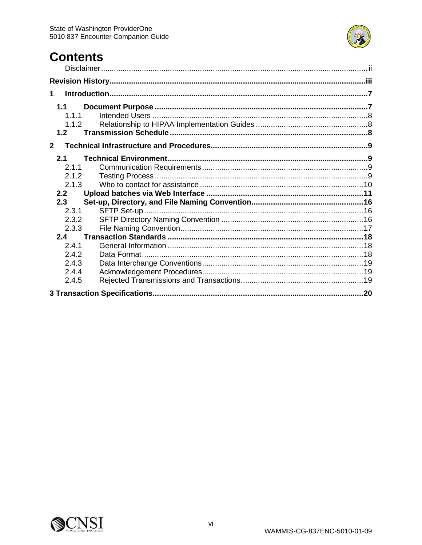

# **Contents**

| 1                                         |  |
|-------------------------------------------|--|
| 1.1<br>1.1.1<br>1.1.2<br>1.2              |  |
| 2 <sup>1</sup>                            |  |
| 2.1<br>2.1.1<br>2.1.2<br>2.1.3            |  |
| 2.2                                       |  |
| 2.3<br>2.3.1<br>2.3.2<br>2.3.3            |  |
| 2.4                                       |  |
| 2.4.1<br>2.4.2<br>2.4.3<br>2.4.4<br>2.4.5 |  |
|                                           |  |

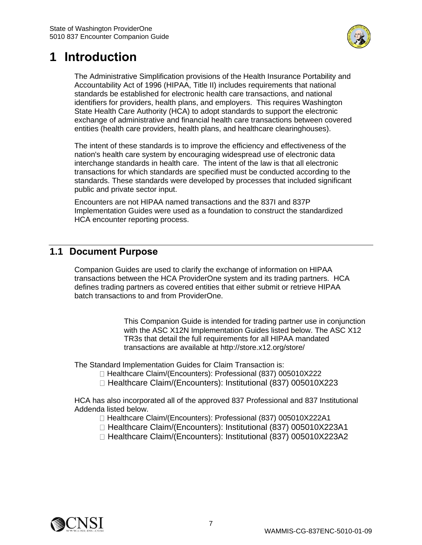

# <span id="page-6-0"></span>**1 Introduction**

The Administrative Simplification provisions of the Health Insurance Portability and Accountability Act of 1996 (HIPAA, Title II) includes requirements that national standards be established for electronic health care transactions, and national identifiers for providers, health plans, and employers. This requires Washington State Health Care Authority (HCA) to adopt standards to support the electronic exchange of administrative and financial health care transactions between covered entities (health care providers, health plans, and healthcare clearinghouses).

The intent of these standards is to improve the efficiency and effectiveness of the nation's health care system by encouraging widespread use of electronic data interchange standards in health care. The intent of the law is that all electronic transactions for which standards are specified must be conducted according to the standards. These standards were developed by processes that included significant public and private sector input.

Encounters are not HIPAA named transactions and the 837I and 837P Implementation Guides were used as a foundation to construct the standardized HCA encounter reporting process.

## <span id="page-6-1"></span>**1.1 Document Purpose**

Companion Guides are used to clarify the exchange of information on HIPAA transactions between the HCA ProviderOne system and its trading partners. HCA defines trading partners as covered entities that either submit or retrieve HIPAA batch transactions to and from ProviderOne.

> This Companion Guide is intended for trading partner use in conjunction with the ASC X12N Implementation Guides listed below. The ASC X12 TR3s that detail the full requirements for all HIPAA mandated transactions are available at http://store.x12.org/store/

The Standard Implementation Guides for Claim Transaction is:

- □ Healthcare Claim/(Encounters): Professional (837) 005010X222
- □ Healthcare Claim/(Encounters): Institutional (837) 005010X223

HCA has also incorporated all of the approved 837 Professional and 837 Institutional Addenda listed below.

- □ Healthcare Claim/(Encounters): Professional (837) 005010X222A1
- □ Healthcare Claim/(Encounters): Institutional (837) 005010X223A1
- □ Healthcare Claim/(Encounters): Institutional (837) 005010X223A2

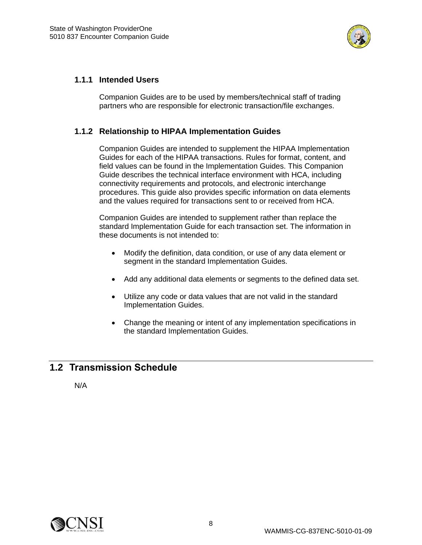

#### <span id="page-7-0"></span>**1.1.1 Intended Users**

Companion Guides are to be used by members/technical staff of trading partners who are responsible for electronic transaction/file exchanges.

#### <span id="page-7-1"></span>**1.1.2 Relationship to HIPAA Implementation Guides**

Companion Guides are intended to supplement the HIPAA Implementation Guides for each of the HIPAA transactions. Rules for format, content, and field values can be found in the Implementation Guides. This Companion Guide describes the technical interface environment with HCA, including connectivity requirements and protocols, and electronic interchange procedures. This guide also provides specific information on data elements and the values required for transactions sent to or received from HCA.

Companion Guides are intended to supplement rather than replace the standard Implementation Guide for each transaction set. The information in these documents is not intended to:

- Modify the definition, data condition, or use of any data element or segment in the standard Implementation Guides.
- Add any additional data elements or segments to the defined data set.
- Utilize any code or data values that are not valid in the standard Implementation Guides.
- Change the meaning or intent of any implementation specifications in the standard Implementation Guides.

## <span id="page-7-2"></span>**1.2 Transmission Schedule**

N/A

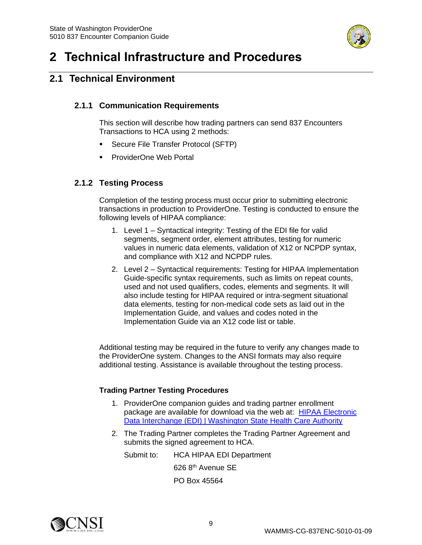

# <span id="page-8-0"></span>**2 Technical Infrastructure and Procedures**

## <span id="page-8-2"></span><span id="page-8-1"></span>**2.1 Technical Environment**

### **2.1.1 Communication Requirements**

This section will describe how trading partners can send 837 Encounters Transactions to HCA using 2 methods:

- Secure File Transfer Protocol (SFTP)
- ProviderOne Web Portal

### <span id="page-8-3"></span>**2.1.2 Testing Process**

Completion of the testing process must occur prior to submitting electronic transactions in production to ProviderOne. Testing is conducted to ensure the following levels of HIPAA compliance:

- 1. Level 1 Syntactical integrity: Testing of the EDI file for valid segments, segment order, element attributes, testing for numeric values in numeric data elements, validation of X12 or NCPDP syntax, and compliance with X12 and NCPDP rules.
- 2. Level 2 Syntactical requirements: Testing for HIPAA Implementation Guide-specific syntax requirements, such as limits on repeat counts, used and not used qualifiers, codes, elements and segments. It will also include testing for HIPAA required or intra-segment situational data elements, testing for non-medical code sets as laid out in the Implementation Guide, and values and codes noted in the Implementation Guide via an X12 code list or table.

Additional testing may be required in the future to verify any changes made to the ProviderOne system. Changes to the ANSI formats may also require additional testing. Assistance is available throughout the testing process.

#### **Trading Partner Testing Procedures**

- 1. ProviderOne companion guides and trading partner enrollment package are available for download via the web at: [HIPAA Electronic](https://www.hca.wa.gov/billers-providers-partners/prior-authorization-claims-and-billing/hipaa-electronic-data-interchange-edi)  [Data Interchange \(EDI\) | Washington State Health Care Authority](https://www.hca.wa.gov/billers-providers-partners/prior-authorization-claims-and-billing/hipaa-electronic-data-interchange-edi)
- 2. The Trading Partner completes the Trading Partner Agreement and submits the signed agreement to HCA.

Submit to: HCA HIPAA EDI Department 626 8th Avenue SE PO Box 45564

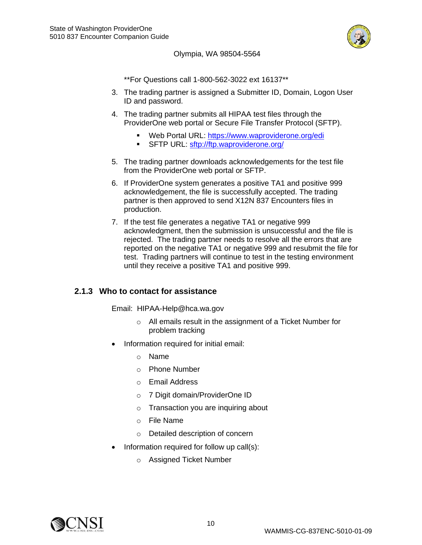

#### Olympia, WA 98504-5564

\*\*For Questions call 1-800-562-3022 ext 16137\*\*

- 3. The trading partner is assigned a Submitter ID, Domain, Logon User ID and password.
- 4. The trading partner submits all HIPAA test files through the ProviderOne web portal or Secure File Transfer Protocol (SFTP).
	- Web Portal URL:<https://www.waproviderone.org/edi>
	- **SFTP URL: <sftp://ftp.waproviderone.org/>**
- 5. The trading partner downloads acknowledgements for the test file from the ProviderOne web portal or SFTP.
- 6. If ProviderOne system generates a positive TA1 and positive 999 acknowledgement, the file is successfully accepted. The trading partner is then approved to send X12N 837 Encounters files in production.
- 7. If the test file generates a negative TA1 or negative 999 acknowledgment, then the submission is unsuccessful and the file is rejected. The trading partner needs to resolve all the errors that are reported on the negative TA1 or negative 999 and resubmit the file for test. Trading partners will continue to test in the testing environment until they receive a positive TA1 and positive 999.

#### <span id="page-9-0"></span>**2.1.3 Who to contact for assistance**

Email: HIPAA-Help@hca.wa.gov

- o All emails result in the assignment of a Ticket Number for problem tracking
- Information required for initial email:
	- o Name
	- o Phone Number
	- o Email Address
	- o 7 Digit domain/ProviderOne ID
	- o Transaction you are inquiring about
	- o File Name
	- o Detailed description of concern
- Information required for follow up call(s):
	- o Assigned Ticket Number

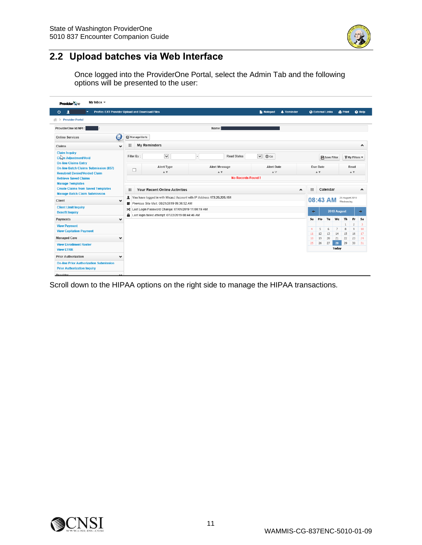

## <span id="page-10-0"></span>**2.2 Upload batches via Web Interface**

Once logged into the ProviderOne Portal, select the Admin Tab and the following options will be presented to the user:

| Profile: EXT Provider Upload and Download Files<br>ტ<br>л<br>▼                                                                                                                                                                                                    |              |              |                                                                                                     |                               | <b>Notepad</b>             | <b>A</b> Reminder |                                                                                | <b>CA</b> External Links |                 |                             | <b>A</b> Print     | <b>O</b> Help                                   |
|-------------------------------------------------------------------------------------------------------------------------------------------------------------------------------------------------------------------------------------------------------------------|--------------|--------------|-----------------------------------------------------------------------------------------------------|-------------------------------|----------------------------|-------------------|--------------------------------------------------------------------------------|--------------------------|-----------------|-----------------------------|--------------------|-------------------------------------------------|
| <b>No. 2</b> Provider Portal                                                                                                                                                                                                                                      |              |              |                                                                                                     |                               |                            |                   |                                                                                |                          |                 |                             |                    |                                                 |
| ProviderOne Id/NPI:                                                                                                                                                                                                                                               |              |              |                                                                                                     | Name:                         |                            |                   |                                                                                |                          |                 |                             |                    |                                                 |
| <b>Online Services</b>                                                                                                                                                                                                                                            | Œ            | ManageAlerts |                                                                                                     |                               |                            |                   |                                                                                |                          |                 |                             |                    |                                                 |
| Claims                                                                                                                                                                                                                                                            | $\checkmark$ | 田            | <b>My Reminders</b>                                                                                 |                               |                            |                   |                                                                                |                          |                 |                             |                    | $\blacktriangle$                                |
| <b>Claim Inquiry</b><br>Clara Adjustment/Void                                                                                                                                                                                                                     |              | Filter By:   | $\checkmark$                                                                                        | Read Status<br>$\overline{a}$ | $\checkmark$<br>$\odot$ Go |                   |                                                                                |                          | Save Filter     |                             |                    | $\overline{\mathbf{Y}}$ My Filters $\mathbf{v}$ |
| <b>On-line Claims Entry</b><br><b>Alert Date</b><br><b>Alert Type</b><br>Alert Message<br><b>On-line Batch Claims Submission (837)</b><br>$\Box$<br>$\mathbbm{A}$ $\mathbbm{V}$<br>$\blacktriangle$ $\triangledown$<br>A V<br><b>Resubmit Denied/Voided Claim</b> |              |              |                                                                                                     |                               |                            |                   | Due Date<br>Read<br>$\mathbbm{A}$ $\mathbbm{V}$<br>$\mathbbm{A}$ $\mathbbm{V}$ |                          |                 |                             |                    |                                                 |
| <b>Retrieve Saved Claims</b><br><b>Manage Templates</b>                                                                                                                                                                                                           |              |              |                                                                                                     | <b>No Records Found!</b>      |                            |                   |                                                                                |                          |                 |                             |                    |                                                 |
| <b>Create Claims from Saved Templates</b><br><b>Manage Batch Claim Submission</b>                                                                                                                                                                                 |              | 田            | Your Recent Online Activities                                                                       |                               |                            | $\blacktriangle$  | 田                                                                              |                          | Calendar        |                             |                    | $\blacktriangle$                                |
| Client                                                                                                                                                                                                                                                            | $\checkmark$ |              | 172.25.225.151 You have logged in with MicasJ Account with IP Address 172.25.225.151                |                               |                            |                   | 08:43 AM                                                                       |                          |                 | 28 August 2019<br>Wednesday |                    |                                                 |
| <b>Client Limit Inquiry</b>                                                                                                                                                                                                                                       |              |              | Previous Site Visit: 08/21/2019 09:36:52 AM<br>x Last Login Password Change: 07/01/2019 11:00:19 AM |                               |                            |                   |                                                                                |                          |                 |                             |                    |                                                 |
| <b>Benefit Inquiry</b>                                                                                                                                                                                                                                            |              | Α.           | Last login failed attempt: 07/22/2019 08:44:46 AM                                                   |                               |                            |                   | $\leftarrow$                                                                   |                          |                 | 2019 August                 |                    | $\rightarrow$                                   |
| Payments                                                                                                                                                                                                                                                          | $\checkmark$ |              |                                                                                                     |                               |                            |                   | Su                                                                             | Mo                       | Tu              | We                          | Th<br>$\mathbf{1}$ | Sa<br><b>Fr</b><br>$\overline{2}$<br>3          |
| <b>View Payment</b>                                                                                                                                                                                                                                               |              |              |                                                                                                     |                               |                            |                   | 4                                                                              | 5                        | $6\overline{6}$ | $\overline{7}$              | 8                  | 9<br>10                                         |
| <b>View Capitation Payment</b>                                                                                                                                                                                                                                    |              |              |                                                                                                     |                               |                            |                   | 11                                                                             | 12                       | 13              | 14                          | 15                 | 16<br>17                                        |
| <b>Managed Care</b>                                                                                                                                                                                                                                               | $\checkmark$ |              |                                                                                                     |                               |                            |                   | 18                                                                             | 19                       | 20              | 21                          | 22                 | 23<br>24                                        |
| <b>View Enrollment Roster</b><br><b>View ETRR</b>                                                                                                                                                                                                                 |              |              |                                                                                                     |                               |                            |                   | 25                                                                             | 26                       | 27              | 28<br>Today                 | 29                 | 30<br>31                                        |
| <b>Prior Authorization</b>                                                                                                                                                                                                                                        | $\checkmark$ |              |                                                                                                     |                               |                            |                   |                                                                                |                          |                 |                             |                    |                                                 |
| <b>On-line Prior Authorization Submission</b>                                                                                                                                                                                                                     |              |              |                                                                                                     |                               |                            |                   |                                                                                |                          |                 |                             |                    |                                                 |
| <b>Prior Authorization Inquiry</b>                                                                                                                                                                                                                                |              |              |                                                                                                     |                               |                            |                   |                                                                                |                          |                 |                             |                    |                                                 |

Scroll down to the HIPAA options on the right side to manage the HIPAA transactions.

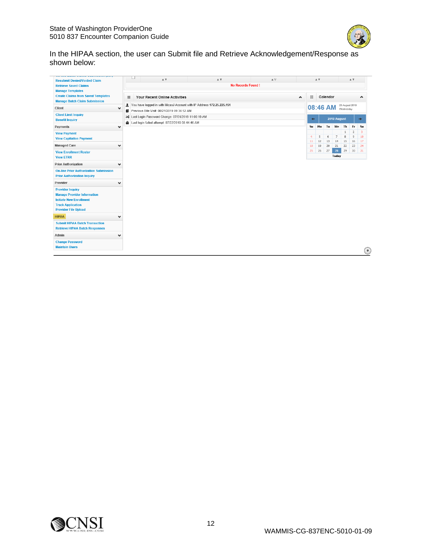

In the HIPAA section, the user can Submit file and Retrieve Acknowledgement/Response as shown below:

| <b>Resubmit Denied/Voided Claim</b>                                                                                                                        |              | $\overline{\phantom{a}}$<br>$A$ $\overline{v}$                                                                                                            | $\mathbbm{A}$ $\overline{\mathbbm{v}}$ | $\blacktriangle \triangledown$ |                | $A$ $\overline{V}$ |          |                |                             | $\mathbbm{A}$ $\overline{\mathbbm{v}}$ |                     |
|------------------------------------------------------------------------------------------------------------------------------------------------------------|--------------|-----------------------------------------------------------------------------------------------------------------------------------------------------------|----------------------------------------|--------------------------------|----------------|--------------------|----------|----------------|-----------------------------|----------------------------------------|---------------------|
| <b>Retrieve Saved Claims</b>                                                                                                                               |              | <b>No Records Found!</b>                                                                                                                                  |                                        |                                |                |                    |          |                |                             |                                        |                     |
| <b>Manage Templates</b><br><b>Create Claims from Saved Templates</b><br><b>Manage Batch Claim Submission</b>                                               | ₩            | Your Recent Online Activities                                                                                                                             |                                        | $\blacktriangle$               | m.             |                    | Calendar |                |                             |                                        | $\hat{\phantom{a}}$ |
| Client                                                                                                                                                     | $\checkmark$ | 172.25.225.151 You have logged in with MicasJ Account with IP Address 172.25.225.151                                                                      |                                        |                                |                | 08:46 AM           |          |                | 28 August 2019<br>Wednesday |                                        |                     |
| <b>Client Limit Inquiry</b><br><b>Benefit Inquiry</b>                                                                                                      | Ω<br>을       | Previous Site Visit: 08/21/2019 09:36:52 AM<br>>¢ Last Login Password Change: 07/01/2019 11:00:19 AM<br>Last login failed attempt: 07/22/2019 08:44:46 AM |                                        |                                | $\leftarrow$   |                    |          | 2019 August    |                             |                                        | $\rightarrow$       |
| Payments                                                                                                                                                   | $\checkmark$ |                                                                                                                                                           |                                        |                                | Su             | Mo                 | Tu       | We             | Th                          | Fr                                     | Sa                  |
| <b>View Payment</b><br><b>View Capitation Payment</b>                                                                                                      |              |                                                                                                                                                           |                                        |                                | $\overline{4}$ | 5                  | 6        | $\overline{7}$ | 8                           | 2<br>9                                 | 3<br>10             |
| <b>Managed Care</b>                                                                                                                                        |              |                                                                                                                                                           |                                        |                                | 11<br>18       | 12<br>19           | 13<br>20 | 14<br>21       | 15<br>22                    | 16<br>23                               | 17<br>24            |
| <b>View Enrollment Roster</b>                                                                                                                              |              |                                                                                                                                                           |                                        |                                | 25             | 26                 | 27       | 28<br>Today    | 29                          | 30                                     | 31                  |
| <b>View ETRR</b><br><b>Prior Authorization</b>                                                                                                             |              |                                                                                                                                                           |                                        |                                |                |                    |          |                |                             |                                        |                     |
| <b>On-line Prior Authorization Submission</b><br><b>Prior Authorization Inquiry</b><br>Provider                                                            | v            |                                                                                                                                                           |                                        |                                |                |                    |          |                |                             |                                        |                     |
| <b>Provider Inquiry</b><br><b>Manage Provider Information</b><br><b>Initiate New Enrollment</b><br><b>Track Application</b><br><b>Provider File Upload</b> |              |                                                                                                                                                           |                                        |                                |                |                    |          |                |                             |                                        |                     |
| <b>HIPAA</b>                                                                                                                                               | $\checkmark$ |                                                                                                                                                           |                                        |                                |                |                    |          |                |                             |                                        |                     |
| <b>Submit HIPAA Batch Transaction</b><br><b>Retrieve HIPAA Batch Responses</b>                                                                             |              |                                                                                                                                                           |                                        |                                |                |                    |          |                |                             |                                        |                     |
| Admin                                                                                                                                                      | $\checkmark$ |                                                                                                                                                           |                                        |                                |                |                    |          |                |                             |                                        |                     |
| <b>Change Password</b><br><b>Maintain Users</b>                                                                                                            |              |                                                                                                                                                           |                                        |                                |                |                    |          |                |                             |                                        | $\Phi$              |

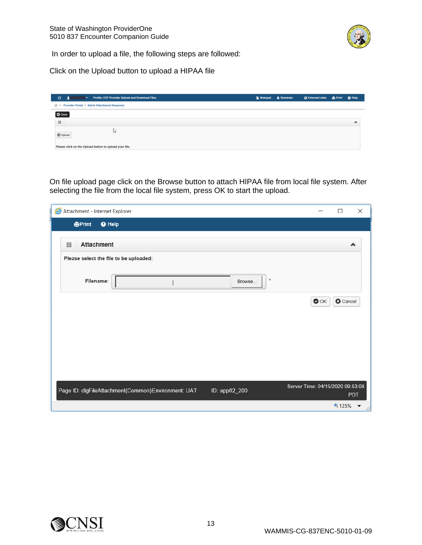

In order to upload a file, the following steps are followed:

Click on the Upload button to upload a HIPAA file

| O<br>Profile: EXT Provider Upload and Download Files<br>$\mathbf{r}$ | Notepad & Reminder |  |   |
|----------------------------------------------------------------------|--------------------|--|---|
| Provider Portal > Batch Attachment Response<br>ボン                    |                    |  |   |
| O Close                                                              |                    |  |   |
| 田                                                                    |                    |  | ۸ |
| <b><i>O</i></b> Upload                                               |                    |  |   |
| Please click on the Upload button to upload your file.               |                    |  |   |

On file upload page click on the Browse button to attach HIPAA file from local file system. After selecting the file from the local file system, press OK to start the upload.

| Attachment - Internet Explorer                                      | $\times$<br>$\Box$                             |
|---------------------------------------------------------------------|------------------------------------------------|
| <b>APrint</b><br><b>O</b> Help                                      |                                                |
| <b>Attachment</b><br>田                                              | $\blacktriangle$                               |
| Please select the file to be uploaded:                              |                                                |
| $\pmb{\ast}$<br>Filename:<br>Browse                                 |                                                |
|                                                                     | <b>O</b> Cancel<br>$\bullet$ ok                |
|                                                                     |                                                |
|                                                                     |                                                |
|                                                                     |                                                |
| Page ID: dlgFileAttachment(Common)Environment: UAT<br>ID: app02_200 | Server Time: 04/15/2020 09:53:08<br><b>PDT</b> |
|                                                                     | $9,125%$ $\rightarrow$<br><b>Add</b>           |

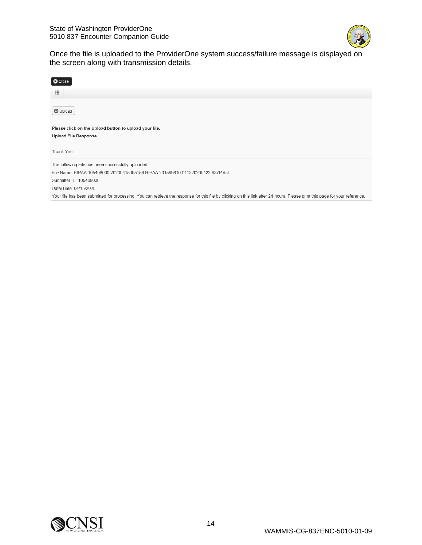

Once the file is uploaded to the ProviderOne system success/failure message is displayed on the screen along with transmission details.

| <b>O</b> Close                                                                                                                                                               |
|------------------------------------------------------------------------------------------------------------------------------------------------------------------------------|
| 噩                                                                                                                                                                            |
|                                                                                                                                                                              |
| <b>1</b> Upload                                                                                                                                                              |
|                                                                                                                                                                              |
| Please click on the Upload button to upload your file.                                                                                                                       |
| <b>Upload File Response</b>                                                                                                                                                  |
|                                                                                                                                                                              |
| Thank You                                                                                                                                                                    |
|                                                                                                                                                                              |
| The following File has been successfully uploaded:                                                                                                                           |
| File Name: HIPAA.105408000.20200415095159.HIPAA.201599810.041320200422.837P.dat                                                                                              |
| Submitter ID: 105408000                                                                                                                                                      |
| Date/Time: 04/15/2020                                                                                                                                                        |
| Your file has been submitted for processing. You can retrieve the response for this file by clicking on this link after 24-hours. Please print this page for your reference. |

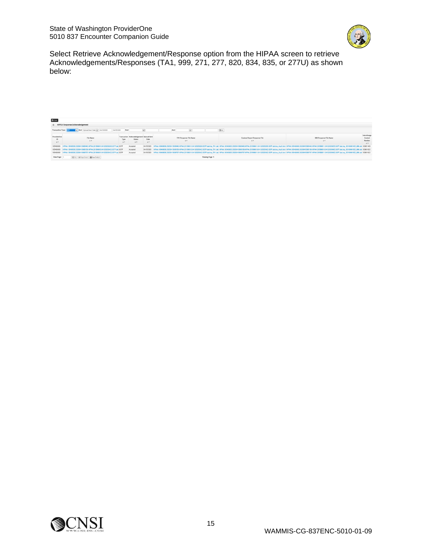

Select Retrieve Acknowledgement/Response option from the HIPAA screen to retrieve Acknowledgements/Responses (TA1, 999, 271, 277, 820, 834, 835, or 277U) as shown below:

| <b>III</b> HIPAA Response/Acknowledgement<br>And Upload/Sent Date v 04/15/2020<br>04/15/2020<br>And<br>And<br>Transaction Type: [337]<br>$Q$ Gs<br>Interchange<br>traviderDine<br>Transaction Acknowledgement Upload/Sent<br>File Name<br>Control<br>TA1 Response File Name<br>939 Response File Name<br>Custom Report Response File<br>Date<br><b>Status</b><br>Туре<br>Number<br>A W<br>A W<br>A W<br>A W<br>$\mathbf{A}$<br>AT.<br>4.7<br>$A$ V<br>AT.<br>HIPAA 105408000 20200415095440 HIPAA 201599811.041320200205.837P.dat 837P<br>04/15/2020 HPAA 105408000.20200415085440.HPAA 201590811.041320200205.837P.dat.hmp TA1.dat HIPAA 105408000.20200415095440.HPAA.201599811.041320200205.837P.dat.hmp Audit.hml HPAA 105408000.20200415080440.HIPAA 105408000.2020<br>Accepted<br>105408000<br>04152020 HIPAA 105408000.22200415081153.HPAA.201569810.041320200422.837P.dat.tmp TA1.dat HIPAA.105408000.20200415086159.HIPAA.201569810.041320200422.837P.dat.tmp Audit.html HPAA.105400002.2037P.dat.tmp Audit.html HPAA.1054<br>HIPAA, 105408000 20200415095159.HIPAA, 201599810.041320200422.837P.dat 837P<br>Accepted<br>105408000<br>04152020 HPAA 105408000.2020041508707.HPAA.201500811.041320200422.837P.dat.tmp TA1.dat HIPAA 105408000.20200415096707-HPAA.201509011.041320200422.837P.dat.tmp Audt.html HPAA 1054030042.837P.dat.tmp Audt.html HPAA 105403004<br>HIPAA, 105408000, 20200415095707, HIPAA, 201599811, 041320200422, 837P, dat 837P<br>105408000<br>Accepted<br>View Page:<br>Citie + Page Count E SaveTokLS<br>Viewing Page: 1 | <b>U</b> you |  |  |  |  |  |  |  |  |  |  |  |
|---------------------------------------------------------------------------------------------------------------------------------------------------------------------------------------------------------------------------------------------------------------------------------------------------------------------------------------------------------------------------------------------------------------------------------------------------------------------------------------------------------------------------------------------------------------------------------------------------------------------------------------------------------------------------------------------------------------------------------------------------------------------------------------------------------------------------------------------------------------------------------------------------------------------------------------------------------------------------------------------------------------------------------------------------------------------------------------------------------------------------------------------------------------------------------------------------------------------------------------------------------------------------------------------------------------------------------------------------------------------------------------------------------------------------------------------------------------------------------------------------------------------------------------------------------------|--------------|--|--|--|--|--|--|--|--|--|--|--|
|                                                                                                                                                                                                                                                                                                                                                                                                                                                                                                                                                                                                                                                                                                                                                                                                                                                                                                                                                                                                                                                                                                                                                                                                                                                                                                                                                                                                                                                                                                                                                               |              |  |  |  |  |  |  |  |  |  |  |  |
|                                                                                                                                                                                                                                                                                                                                                                                                                                                                                                                                                                                                                                                                                                                                                                                                                                                                                                                                                                                                                                                                                                                                                                                                                                                                                                                                                                                                                                                                                                                                                               |              |  |  |  |  |  |  |  |  |  |  |  |
|                                                                                                                                                                                                                                                                                                                                                                                                                                                                                                                                                                                                                                                                                                                                                                                                                                                                                                                                                                                                                                                                                                                                                                                                                                                                                                                                                                                                                                                                                                                                                               |              |  |  |  |  |  |  |  |  |  |  |  |
|                                                                                                                                                                                                                                                                                                                                                                                                                                                                                                                                                                                                                                                                                                                                                                                                                                                                                                                                                                                                                                                                                                                                                                                                                                                                                                                                                                                                                                                                                                                                                               |              |  |  |  |  |  |  |  |  |  |  |  |
|                                                                                                                                                                                                                                                                                                                                                                                                                                                                                                                                                                                                                                                                                                                                                                                                                                                                                                                                                                                                                                                                                                                                                                                                                                                                                                                                                                                                                                                                                                                                                               |              |  |  |  |  |  |  |  |  |  |  |  |
|                                                                                                                                                                                                                                                                                                                                                                                                                                                                                                                                                                                                                                                                                                                                                                                                                                                                                                                                                                                                                                                                                                                                                                                                                                                                                                                                                                                                                                                                                                                                                               |              |  |  |  |  |  |  |  |  |  |  |  |
|                                                                                                                                                                                                                                                                                                                                                                                                                                                                                                                                                                                                                                                                                                                                                                                                                                                                                                                                                                                                                                                                                                                                                                                                                                                                                                                                                                                                                                                                                                                                                               |              |  |  |  |  |  |  |  |  |  |  |  |

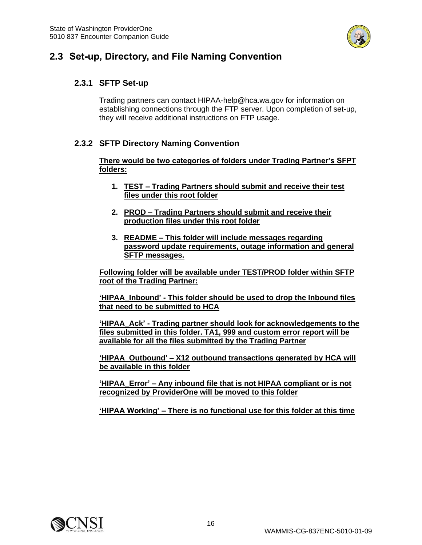

## <span id="page-15-1"></span><span id="page-15-0"></span>**2.3 Set-up, Directory, and File Naming Convention**

### **2.3.1 SFTP Set-up**

Trading partners can contact HIPAA-help@hca.wa.gov for information on establishing connections through the FTP server. Upon completion of set-up, they will receive additional instructions on FTP usage.

#### <span id="page-15-2"></span>**2.3.2 SFTP Directory Naming Convention**

**There would be two categories of folders under Trading Partner's SFPT folders:**

- **1. TEST – Trading Partners should submit and receive their test files under this root folder**
- **2. PROD – Trading Partners should submit and receive their production files under this root folder**
- **3. README – This folder will include messages regarding password update requirements, outage information and general SFTP messages.**

**Following folder will be available under TEST/PROD folder within SFTP root of the Trading Partner:**

**'HIPAA\_Inbound' - This folder should be used to drop the Inbound files that need to be submitted to HCA**

**'HIPAA\_Ack' - Trading partner should look for acknowledgements to the files submitted in this folder. TA1, 999 and custom error report will be available for all the files submitted by the Trading Partner**

**'HIPAA\_Outbound' – X12 outbound transactions generated by HCA will be available in this folder**

**'HIPAA\_Error' – Any inbound file that is not HIPAA compliant or is not recognized by ProviderOne will be moved to this folder**

**'HIPAA Working' – There is no functional use for this folder at this time**

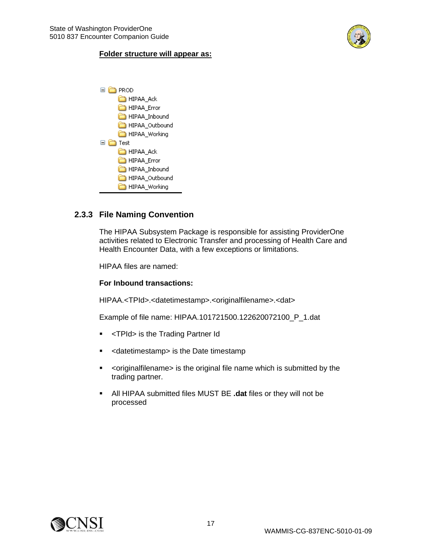

#### **Folder structure will appear as:**



#### <span id="page-16-0"></span>**2.3.3 File Naming Convention**

The HIPAA Subsystem Package is responsible for assisting ProviderOne activities related to Electronic Transfer and processing of Health Care and Health Encounter Data, with a few exceptions or limitations.

HIPAA files are named:

#### **For Inbound transactions:**

HIPAA.<TPId>.<datetimestamp>.<originalfilename>.<dat>

Example of file name: HIPAA.101721500.122620072100\_P\_1.dat

- <TPId> is the Trading Partner Id
- <datetimestamp> is the Date timestamp
- <originalfilename> is the original file name which is submitted by the trading partner.
- All HIPAA submitted files MUST BE **.dat** files or they will not be processed

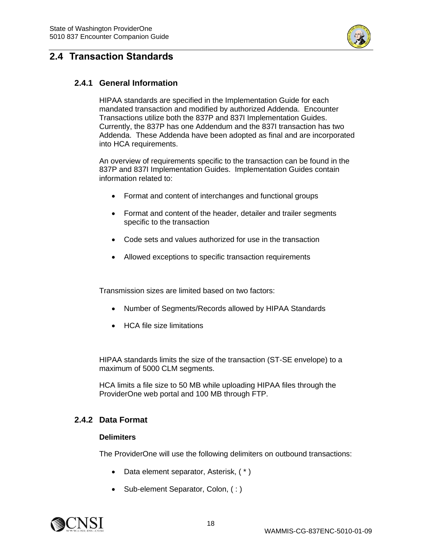

## <span id="page-17-1"></span><span id="page-17-0"></span>**2.4 Transaction Standards**

#### **2.4.1 General Information**

HIPAA standards are specified in the Implementation Guide for each mandated transaction and modified by authorized Addenda. Encounter Transactions utilize both the 837P and 837I Implementation Guides. Currently, the 837P has one Addendum and the 837I transaction has two Addenda. These Addenda have been adopted as final and are incorporated into HCA requirements.

An overview of requirements specific to the transaction can be found in the 837P and 837I Implementation Guides. Implementation Guides contain information related to:

- Format and content of interchanges and functional groups
- Format and content of the header, detailer and trailer segments specific to the transaction
- Code sets and values authorized for use in the transaction
- Allowed exceptions to specific transaction requirements

Transmission sizes are limited based on two factors:

- Number of Segments/Records allowed by HIPAA Standards
- HCA file size limitations

HIPAA standards limits the size of the transaction (ST-SE envelope) to a maximum of 5000 CLM segments.

HCA limits a file size to 50 MB while uploading HIPAA files through the ProviderOne web portal and 100 MB through FTP.

#### <span id="page-17-2"></span>**2.4.2 Data Format**

#### **Delimiters**

The ProviderOne will use the following delimiters on outbound transactions:

- Data element separator, Asterisk,  $(*)$
- Sub-element Separator, Colon, (:)

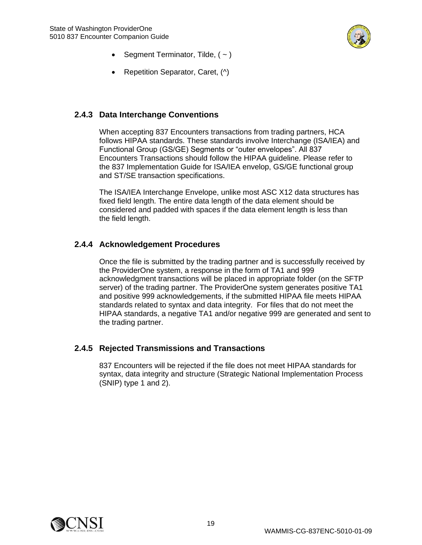

- Segment Terminator, Tilde,  $($   $\sim$   $)$
- Repetition Separator, Caret, (^)

### <span id="page-18-0"></span>**2.4.3 Data Interchange Conventions**

When accepting 837 Encounters transactions from trading partners, HCA follows HIPAA standards. These standards involve Interchange (ISA/IEA) and Functional Group (GS/GE) Segments or "outer envelopes". All 837 Encounters Transactions should follow the HIPAA guideline. Please refer to the 837 Implementation Guide for ISA/IEA envelop, GS/GE functional group and ST/SE transaction specifications.

The ISA/IEA Interchange Envelope, unlike most ASC X12 data structures has fixed field length. The entire data length of the data element should be considered and padded with spaces if the data element length is less than the field length.

### <span id="page-18-1"></span>**2.4.4 Acknowledgement Procedures**

Once the file is submitted by the trading partner and is successfully received by the ProviderOne system, a response in the form of TA1 and 999 acknowledgment transactions will be placed in appropriate folder (on the SFTP server) of the trading partner. The ProviderOne system generates positive TA1 and positive 999 acknowledgements, if the submitted HIPAA file meets HIPAA standards related to syntax and data integrity. For files that do not meet the HIPAA standards, a negative TA1 and/or negative 999 are generated and sent to the trading partner.

#### <span id="page-18-2"></span>**2.4.5 Rejected Transmissions and Transactions**

837 Encounters will be rejected if the file does not meet HIPAA standards for syntax, data integrity and structure (Strategic National Implementation Process (SNIP) type 1 and 2).

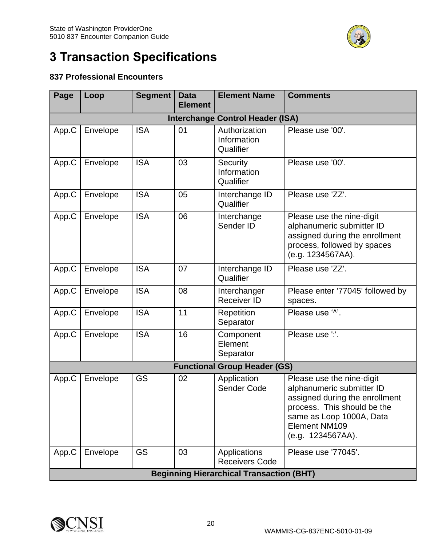

# <span id="page-19-0"></span>**3 Transaction Specifications**

## **837 Professional Encounters**

| Page                            | Loop                                    | <b>Segment</b> | <b>Data</b><br><b>Element</b> | <b>Element Name</b>                             | <b>Comments</b>                                                                                                                                                                           |  |  |  |  |  |  |  |
|---------------------------------|-----------------------------------------|----------------|-------------------------------|-------------------------------------------------|-------------------------------------------------------------------------------------------------------------------------------------------------------------------------------------------|--|--|--|--|--|--|--|
|                                 | <b>Interchange Control Header (ISA)</b> |                |                               |                                                 |                                                                                                                                                                                           |  |  |  |  |  |  |  |
| <b>ISA</b><br>Envelope<br>App.C |                                         |                | 01                            | Authorization<br>Information<br>Qualifier       | Please use '00'.                                                                                                                                                                          |  |  |  |  |  |  |  |
| App.C                           | Envelope                                | <b>ISA</b>     | 03                            | Security<br>Information<br>Qualifier            | Please use '00'.                                                                                                                                                                          |  |  |  |  |  |  |  |
| App.C                           | Envelope                                | <b>ISA</b>     | 05                            | Interchange ID<br>Qualifier                     | Please use 'ZZ'.                                                                                                                                                                          |  |  |  |  |  |  |  |
| App.C                           | Envelope                                | <b>ISA</b>     | 06                            | Interchange<br>Sender ID                        | Please use the nine-digit<br>alphanumeric submitter ID<br>assigned during the enrollment<br>process, followed by spaces<br>(e.g. 1234567AA).                                              |  |  |  |  |  |  |  |
| App.C                           | Envelope                                | <b>ISA</b>     | 07                            | Interchange ID<br>Qualifier                     | Please use 'ZZ'.                                                                                                                                                                          |  |  |  |  |  |  |  |
| App.C                           | Envelope                                | <b>ISA</b>     | 08                            | Interchanger<br><b>Receiver ID</b>              | Please enter '77045' followed by<br>spaces.                                                                                                                                               |  |  |  |  |  |  |  |
| App.C                           | Envelope                                | <b>ISA</b>     | 11                            | Repetition<br>Separator                         | Please use '^'.                                                                                                                                                                           |  |  |  |  |  |  |  |
| App.C                           | Envelope                                | <b>ISA</b>     | 16                            | Component<br>Element<br>Separator               | Please use ":'.                                                                                                                                                                           |  |  |  |  |  |  |  |
|                                 |                                         |                |                               | <b>Functional Group Header (GS)</b>             |                                                                                                                                                                                           |  |  |  |  |  |  |  |
| App.C                           | Envelope                                | GS             | 02                            | Application<br>Sender Code                      | Please use the nine-digit<br>alphanumeric submitter ID<br>assigned during the enrollment<br>process. This should be the<br>same as Loop 1000A, Data<br>Element NM109<br>(e.g. 1234567AA). |  |  |  |  |  |  |  |
| App.C                           | Envelope                                | <b>GS</b>      | 03                            | Applications<br><b>Receivers Code</b>           | Please use '77045'.                                                                                                                                                                       |  |  |  |  |  |  |  |
|                                 |                                         |                |                               | <b>Beginning Hierarchical Transaction (BHT)</b> |                                                                                                                                                                                           |  |  |  |  |  |  |  |

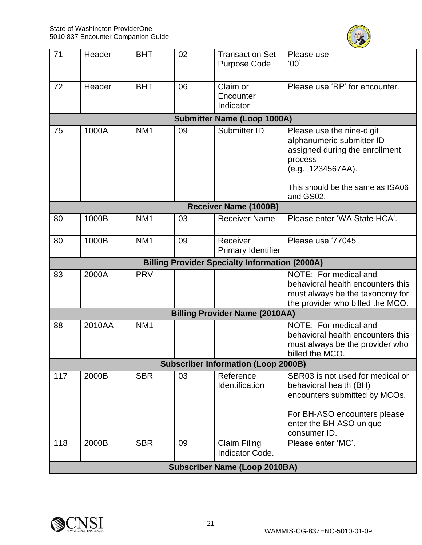

| 71                                 | Header                    | <b>BHT</b>      | 02                                | <b>Transaction Set</b><br><b>Purpose Code</b>                                                                    | Please use<br>'00'.                                                                                                                                                    |  |  |  |  |
|------------------------------------|---------------------------|-----------------|-----------------------------------|------------------------------------------------------------------------------------------------------------------|------------------------------------------------------------------------------------------------------------------------------------------------------------------------|--|--|--|--|
| 72                                 | Header                    | <b>BHT</b>      | 06                                | Claim or<br>Encounter<br>Indicator                                                                               | Please use 'RP' for encounter.                                                                                                                                         |  |  |  |  |
| <b>Submitter Name (Loop 1000A)</b> |                           |                 |                                   |                                                                                                                  |                                                                                                                                                                        |  |  |  |  |
| 75                                 | 1000A                     | NM <sub>1</sub> | 09                                | Submitter ID                                                                                                     | Please use the nine-digit<br>alphanumeric submitter ID<br>assigned during the enrollment<br>process<br>(e.g. 1234567AA).<br>This should be the same as ISA06           |  |  |  |  |
|                                    |                           |                 |                                   | <b>Receiver Name (1000B)</b>                                                                                     | and GS02.                                                                                                                                                              |  |  |  |  |
| 80                                 | 1000B                     | NM <sub>1</sub> | 03                                | <b>Receiver Name</b>                                                                                             | Please enter 'WA State HCA'.                                                                                                                                           |  |  |  |  |
|                                    |                           |                 |                                   |                                                                                                                  |                                                                                                                                                                        |  |  |  |  |
| 80                                 | 1000B                     | NM <sub>1</sub> | 09                                | Receiver<br><b>Primary Identifier</b>                                                                            | Please use '77045'.                                                                                                                                                    |  |  |  |  |
|                                    |                           |                 |                                   | <b>Billing Provider Specialty Information (2000A)</b>                                                            |                                                                                                                                                                        |  |  |  |  |
| 83                                 | 2000A                     | <b>PRV</b>      |                                   |                                                                                                                  | NOTE: For medical and<br>behavioral health encounters this<br>must always be the taxonomy for<br>the provider who billed the MCO.                                      |  |  |  |  |
|                                    |                           |                 |                                   | <b>Billing Provider Name (2010AA)</b>                                                                            |                                                                                                                                                                        |  |  |  |  |
| 88                                 | 2010AA<br>NM <sub>1</sub> |                 |                                   | NOTE: For medical and<br>behavioral health encounters this<br>must always be the provider who<br>billed the MCO. |                                                                                                                                                                        |  |  |  |  |
|                                    |                           |                 |                                   | <b>Subscriber Information (Loop 2000B)</b>                                                                       |                                                                                                                                                                        |  |  |  |  |
| 117                                | 2000B                     | <b>SBR</b>      | 03<br>Reference<br>Identification |                                                                                                                  | SBR03 is not used for medical or<br>behavioral health (BH)<br>encounters submitted by MCOs.<br>For BH-ASO encounters please<br>enter the BH-ASO unique<br>consumer ID. |  |  |  |  |
| 118                                | 2000B                     | <b>SBR</b>      | 09                                | <b>Claim Filing</b><br>Please enter 'MC'.<br>Indicator Code.                                                     |                                                                                                                                                                        |  |  |  |  |
|                                    |                           |                 |                                   | <b>Subscriber Name (Loop 2010BA)</b>                                                                             |                                                                                                                                                                        |  |  |  |  |

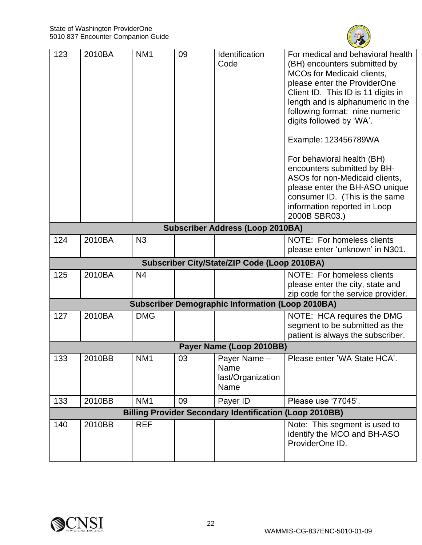

| 123                                     | 2010BA | NM <sub>1</sub> | 09 | Identification<br>Code                                         | For medical and behavioral health<br>(BH) encounters submitted by<br><b>MCOs for Medicaid clients,</b><br>please enter the ProviderOne<br>Client ID. This ID is 11 digits in<br>length and is alphanumeric in the<br>following format: nine numeric<br>digits followed by 'WA'.<br>Example: 123456789WA<br>For behavioral health (BH)<br>encounters submitted by BH-<br>ASOs for non-Medicaid clients,<br>please enter the BH-ASO unique<br>consumer ID. (This is the same<br>information reported in Loop<br>2000B SBR03.) |  |
|-----------------------------------------|--------|-----------------|----|----------------------------------------------------------------|-----------------------------------------------------------------------------------------------------------------------------------------------------------------------------------------------------------------------------------------------------------------------------------------------------------------------------------------------------------------------------------------------------------------------------------------------------------------------------------------------------------------------------|--|
| <b>Subscriber Address (Loop 2010BA)</b> |        |                 |    |                                                                |                                                                                                                                                                                                                                                                                                                                                                                                                                                                                                                             |  |
| 124                                     | 2010BA | N <sub>3</sub>  |    |                                                                | NOTE: For homeless clients<br>please enter 'unknown' in N301.                                                                                                                                                                                                                                                                                                                                                                                                                                                               |  |
|                                         |        |                 |    | Subscriber City/State/ZIP Code (Loop 2010BA)                   |                                                                                                                                                                                                                                                                                                                                                                                                                                                                                                                             |  |
| 125                                     | 2010BA | N <sub>4</sub>  |    |                                                                | NOTE: For homeless clients<br>please enter the city, state and<br>zip code for the service provider.                                                                                                                                                                                                                                                                                                                                                                                                                        |  |
|                                         |        |                 |    | <b>Subscriber Demographic Information (Loop 2010BA)</b>        |                                                                                                                                                                                                                                                                                                                                                                                                                                                                                                                             |  |
| 127                                     | 2010BA | <b>DMG</b>      |    |                                                                | NOTE: HCA requires the DMG<br>segment to be submitted as the<br>patient is always the subscriber.                                                                                                                                                                                                                                                                                                                                                                                                                           |  |
|                                         |        |                 |    | Payer Name (Loop 2010BB)                                       |                                                                                                                                                                                                                                                                                                                                                                                                                                                                                                                             |  |
| 133                                     | 2010BB | NM <sub>1</sub> | 03 | Payer Name -<br>Name<br>last/Organization<br>Name              | Please enter 'WA State HCA'.                                                                                                                                                                                                                                                                                                                                                                                                                                                                                                |  |
| 133                                     | 2010BB | NM <sub>1</sub> | 09 | Payer ID                                                       | Please use '77045'.                                                                                                                                                                                                                                                                                                                                                                                                                                                                                                         |  |
|                                         |        |                 |    | <b>Billing Provider Secondary Identification (Loop 2010BB)</b> |                                                                                                                                                                                                                                                                                                                                                                                                                                                                                                                             |  |
| 140                                     | 2010BB | <b>REF</b>      |    |                                                                | Note: This segment is used to<br>identify the MCO and BH-ASO<br>ProviderOne ID.                                                                                                                                                                                                                                                                                                                                                                                                                                             |  |

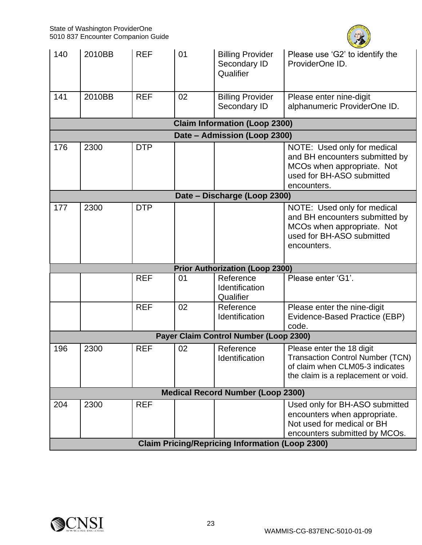

| 140                          | 2010BB | <b>REF</b> | 01 | <b>Billing Provider</b><br>Secondary ID<br>Qualifier   | Please use 'G2' to identify the<br>ProviderOne ID.                                                                                      |  |  |  |  |  |
|------------------------------|--------|------------|----|--------------------------------------------------------|-----------------------------------------------------------------------------------------------------------------------------------------|--|--|--|--|--|
| 141                          | 2010BB | <b>REF</b> | 02 | <b>Billing Provider</b><br>Secondary ID                | Please enter nine-digit<br>alphanumeric ProviderOne ID.                                                                                 |  |  |  |  |  |
|                              |        |            |    | <b>Claim Information (Loop 2300)</b>                   |                                                                                                                                         |  |  |  |  |  |
| Date - Admission (Loop 2300) |        |            |    |                                                        |                                                                                                                                         |  |  |  |  |  |
| 176                          | 2300   | <b>DTP</b> |    |                                                        | NOTE: Used only for medical<br>and BH encounters submitted by<br>MCOs when appropriate. Not<br>used for BH-ASO submitted<br>encounters. |  |  |  |  |  |
|                              |        |            |    | Date - Discharge (Loop 2300)                           |                                                                                                                                         |  |  |  |  |  |
| 177                          | 2300   | <b>DTP</b> |    |                                                        | NOTE: Used only for medical<br>and BH encounters submitted by<br>MCOs when appropriate. Not<br>used for BH-ASO submitted<br>encounters. |  |  |  |  |  |
|                              |        |            |    | <b>Prior Authorization (Loop 2300)</b>                 |                                                                                                                                         |  |  |  |  |  |
|                              |        | <b>REF</b> | 01 | Reference<br>Identification<br>Qualifier               | Please enter 'G1'.                                                                                                                      |  |  |  |  |  |
|                              |        | <b>REF</b> | 02 | Reference<br>Identification                            | Please enter the nine-digit<br>Evidence-Based Practice (EBP)<br>code.                                                                   |  |  |  |  |  |
|                              |        |            |    | Payer Claim Control Number (Loop 2300)                 |                                                                                                                                         |  |  |  |  |  |
| 196                          | 2300   | <b>REF</b> | 02 | Reference<br>Identification                            | Please enter the 18 digit<br>Transaction Control Number (TCN)<br>of claim when CLM05-3 indicates<br>the claim is a replacement or void. |  |  |  |  |  |
|                              |        |            |    | <b>Medical Record Number (Loop 2300)</b>               |                                                                                                                                         |  |  |  |  |  |
| 204                          | 2300   | <b>REF</b> |    | <b>Claim Pricing/Repricing Information (Loop 2300)</b> | Used only for BH-ASO submitted<br>encounters when appropriate.<br>Not used for medical or BH<br>encounters submitted by MCOs.           |  |  |  |  |  |

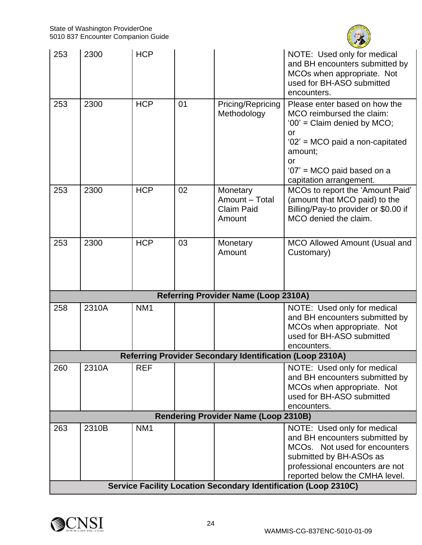

| 253 | 2300  | <b>HCP</b>      |    |                                                                 | NOTE: Used only for medical<br>and BH encounters submitted by<br>MCOs when appropriate. Not<br>used for BH-ASO submitted<br>encounters.                                                                      |
|-----|-------|-----------------|----|-----------------------------------------------------------------|--------------------------------------------------------------------------------------------------------------------------------------------------------------------------------------------------------------|
| 253 | 2300  | <b>HCP</b>      | 01 | Pricing/Repricing<br>Methodology                                | Please enter based on how the<br>MCO reimbursed the claim:<br>'00' = Claim denied by MCO;<br>or<br>'02' = MCO paid a non-capitated<br>amount;<br>or<br>'07' = MCO paid based on a<br>capitation arrangement. |
| 253 | 2300  | <b>HCP</b>      | 02 | Monetary<br>Amount - Total<br><b>Claim Paid</b><br>Amount       | MCOs to report the 'Amount Paid'<br>(amount that MCO paid) to the<br>Billing/Pay-to provider or \$0.00 if<br>MCO denied the claim.                                                                           |
| 253 | 2300  | <b>HCP</b>      | 03 | Monetary<br>Amount                                              | <b>MCO Allowed Amount (Usual and</b><br>Customary)                                                                                                                                                           |
|     |       |                 |    | <b>Referring Provider Name (Loop 2310A)</b>                     |                                                                                                                                                                                                              |
| 258 | 2310A | NM <sub>1</sub> |    |                                                                 | NOTE: Used only for medical<br>and BH encounters submitted by<br>MCOs when appropriate. Not<br>used for BH-ASO submitted<br>encounters.                                                                      |
|     |       |                 |    | <b>Referring Provider Secondary Identification (Loop 2310A)</b> |                                                                                                                                                                                                              |
| 260 | 2310A | <b>REF</b>      |    |                                                                 | NOTE: Used only for medical<br>and BH encounters submitted by<br>MCOs when appropriate. Not<br>used for BH-ASO submitted<br>encounters.                                                                      |
|     |       |                 |    | <b>Rendering Provider Name (Loop 2310B)</b>                     |                                                                                                                                                                                                              |
| 263 | 2310B | NM <sub>1</sub> |    |                                                                 | NOTE: Used only for medical<br>and BH encounters submitted by<br>MCOs. Not used for encounters<br>submitted by BH-ASOs as<br>professional encounters are not<br>reported below the CMHA level.               |
|     |       |                 |    |                                                                 | Service Facility Location Secondary Identification (Loop 2310C)                                                                                                                                              |

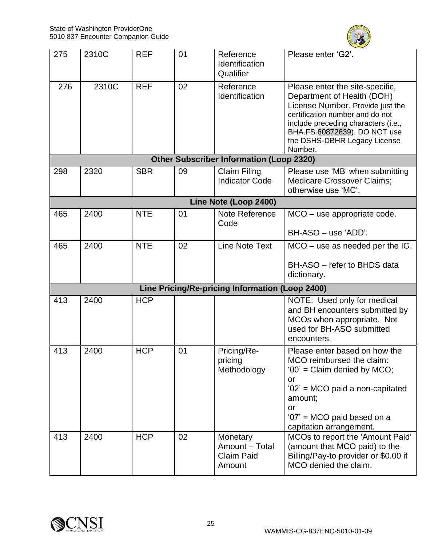

| 275 | 2310C | <b>REF</b> | 01 | Reference<br>Identification<br>Qualifier                  | Please enter 'G2'.                                                                                                                                                                                                                                     |
|-----|-------|------------|----|-----------------------------------------------------------|--------------------------------------------------------------------------------------------------------------------------------------------------------------------------------------------------------------------------------------------------------|
| 276 | 2310C | <b>REF</b> | 02 | Reference<br>Identification                               | Please enter the site-specific,<br>Department of Health (DOH)<br>License Number. Provide just the<br>certification number and do not<br>include preceding characters (i.e.,<br>BHA.FS.60872639). DO NOT use<br>the DSHS-DBHR Legacy License<br>Number. |
|     |       |            |    | <b>Other Subscriber Information (Loop 2320)</b>           |                                                                                                                                                                                                                                                        |
| 298 | 2320  | <b>SBR</b> | 09 | <b>Claim Filing</b><br><b>Indicator Code</b>              | Please use 'MB' when submitting<br><b>Medicare Crossover Claims;</b><br>otherwise use 'MC'.                                                                                                                                                            |
|     |       |            |    | Line Note (Loop 2400)                                     |                                                                                                                                                                                                                                                        |
| 465 | 2400  | <b>NTE</b> | 01 | Note Reference<br>Code                                    | $MCO -$ use appropriate code.                                                                                                                                                                                                                          |
|     |       |            |    |                                                           | BH-ASO - use 'ADD'.                                                                                                                                                                                                                                    |
| 465 | 2400  | <b>NTE</b> | 02 | <b>Line Note Text</b>                                     | $MCO -$ use as needed per the IG.                                                                                                                                                                                                                      |
|     |       |            |    |                                                           | BH-ASO - refer to BHDS data<br>dictionary.                                                                                                                                                                                                             |
|     |       |            |    | Line Pricing/Re-pricing Information (Loop 2400)           |                                                                                                                                                                                                                                                        |
| 413 | 2400  | <b>HCP</b> |    |                                                           | NOTE: Used only for medical<br>and BH encounters submitted by<br>MCOs when appropriate. Not<br>used for BH-ASO submitted<br>encounters.                                                                                                                |
| 413 | 2400  | <b>HCP</b> | 01 | Pricing/Re-<br>pricing<br>Methodology                     | Please enter based on how the<br>MCO reimbursed the claim:<br>'00' = Claim denied by MCO;<br>or<br>'02' = MCO paid a non-capitated<br>amount;<br>or<br>'07' = MCO paid based on a<br>capitation arrangement.                                           |
| 413 | 2400  | <b>HCP</b> | 02 | Monetary<br>Amount - Total<br><b>Claim Paid</b><br>Amount | MCOs to report the 'Amount Paid'<br>(amount that MCO paid) to the<br>Billing/Pay-to provider or \$0.00 if<br>MCO denied the claim.                                                                                                                     |

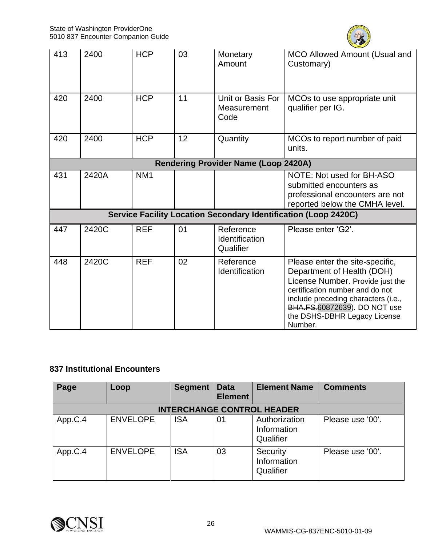

| 413                                         | 2400  | <b>HCP</b>      | 03 | Monetary<br>Amount                       | MCO Allowed Amount (Usual and<br>Customary)                                                                                                                                                                                                            |  |  |
|---------------------------------------------|-------|-----------------|----|------------------------------------------|--------------------------------------------------------------------------------------------------------------------------------------------------------------------------------------------------------------------------------------------------------|--|--|
| 420                                         | 2400  | <b>HCP</b>      | 11 | Unit or Basis For<br>Measurement<br>Code | MCOs to use appropriate unit<br>qualifier per IG.                                                                                                                                                                                                      |  |  |
| 420                                         | 2400  | <b>HCP</b>      | 12 | Quantity                                 | MCOs to report number of paid<br>units.                                                                                                                                                                                                                |  |  |
| <b>Rendering Provider Name (Loop 2420A)</b> |       |                 |    |                                          |                                                                                                                                                                                                                                                        |  |  |
| 431                                         | 2420A | NM <sub>1</sub> |    |                                          | NOTE: Not used for BH-ASO<br>submitted encounters as<br>professional encounters are not<br>reported below the CMHA level.                                                                                                                              |  |  |
|                                             |       |                 |    |                                          | <b>Service Facility Location Secondary Identification (Loop 2420C)</b>                                                                                                                                                                                 |  |  |
| 447                                         | 2420C | <b>REF</b>      | 01 | Reference<br>Identification<br>Qualifier | Please enter 'G2'.                                                                                                                                                                                                                                     |  |  |
| 448                                         | 2420C | <b>REF</b>      | 02 | Reference<br>Identification              | Please enter the site-specific,<br>Department of Health (DOH)<br>License Number. Provide just the<br>certification number and do not<br>include preceding characters (i.e.,<br>BHA.FS.60872639). DO NOT use<br>the DSHS-DBHR Legacy License<br>Number. |  |  |

## **837 Institutional Encounters**

| Page                              | Loop            | <b>Segment</b> | <b>Data</b><br><b>Element</b> | <b>Element Name</b>                       | <b>Comments</b>  |  |  |  |  |
|-----------------------------------|-----------------|----------------|-------------------------------|-------------------------------------------|------------------|--|--|--|--|
| <b>INTERCHANGE CONTROL HEADER</b> |                 |                |                               |                                           |                  |  |  |  |  |
| App.C.4                           | <b>ENVELOPE</b> | <b>ISA</b>     | 01                            | Authorization<br>Information<br>Qualifier | Please use '00'. |  |  |  |  |
| App.C.4                           | <b>ENVELOPE</b> | <b>ISA</b>     | 03                            | Security<br>Information<br>Qualifier      | Please use '00'. |  |  |  |  |

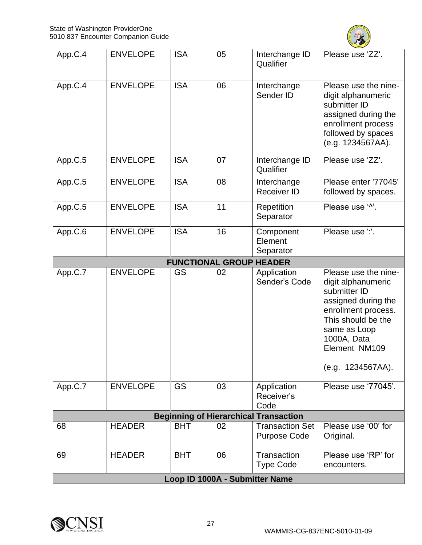

| App.C.4 | <b>ENVELOPE</b> | <b>ISA</b>                     | 05 | Interchange ID<br>Qualifier                   | Please use 'ZZ'.                                                                                                                                                                                    |
|---------|-----------------|--------------------------------|----|-----------------------------------------------|-----------------------------------------------------------------------------------------------------------------------------------------------------------------------------------------------------|
| App.C.4 | <b>ENVELOPE</b> | <b>ISA</b>                     | 06 | Interchange<br>Sender ID                      | Please use the nine-<br>digit alphanumeric<br>submitter ID<br>assigned during the<br>enrollment process<br>followed by spaces<br>(e.g. 1234567AA).                                                  |
| App.C.5 | <b>ENVELOPE</b> | <b>ISA</b>                     | 07 | Interchange ID<br>Qualifier                   | Please use 'ZZ'.                                                                                                                                                                                    |
| App.C.5 | <b>ENVELOPE</b> | <b>ISA</b>                     | 08 | Interchange<br><b>Receiver ID</b>             | Please enter '77045'<br>followed by spaces.                                                                                                                                                         |
| App.C.5 | <b>ENVELOPE</b> | <b>ISA</b>                     | 11 | Repetition<br>Separator                       | Please use '^'.                                                                                                                                                                                     |
| App.C.6 | <b>ENVELOPE</b> | <b>ISA</b>                     | 16 | Component<br>Element<br>Separator             | Please use ":.                                                                                                                                                                                      |
|         |                 | <b>FUNCTIONAL GROUP HEADER</b> |    |                                               |                                                                                                                                                                                                     |
| App.C.7 | <b>ENVELOPE</b> | <b>GS</b>                      | 02 | Application<br>Sender's Code                  | Please use the nine-<br>digit alphanumeric<br>submitter ID<br>assigned during the<br>enrollment process.<br>This should be the<br>same as Loop<br>1000A, Data<br>Element NM109<br>(e.g. 1234567AA). |
| App.C.7 | <b>ENVELOPE</b> | <b>GS</b>                      | 03 | Application<br>Receiver's<br>Code             | Please use '77045'.                                                                                                                                                                                 |
|         |                 |                                |    | <b>Beginning of Hierarchical Transaction</b>  |                                                                                                                                                                                                     |
| 68      | <b>HEADER</b>   | <b>BHT</b>                     | 02 | <b>Transaction Set</b><br><b>Purpose Code</b> | Please use '00' for<br>Original.                                                                                                                                                                    |
| 69      | <b>HEADER</b>   | <b>BHT</b>                     | 06 | Transaction<br><b>Type Code</b>               | Please use 'RP' for<br>encounters.                                                                                                                                                                  |
|         |                 | Loop ID 1000A - Submitter Name |    |                                               |                                                                                                                                                                                                     |

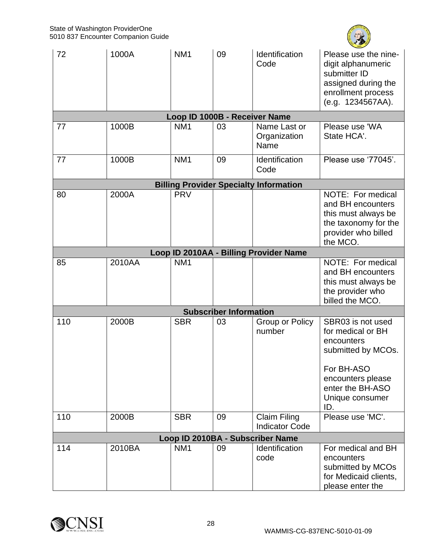

| 72  | 1000A  | NM <sub>1</sub>               | 09                            | Identification<br>Code                             | Please use the nine-<br>digit alphanumeric<br>submitter ID<br>assigned during the<br>enrollment process<br>(e.g. 1234567AA).                                |
|-----|--------|-------------------------------|-------------------------------|----------------------------------------------------|-------------------------------------------------------------------------------------------------------------------------------------------------------------|
|     |        | Loop ID 1000B - Receiver Name |                               |                                                    |                                                                                                                                                             |
| 77  | 1000B  | NM <sub>1</sub>               | 03                            | Name Last or<br>Organization<br>Name               | Please use 'WA<br>State HCA'.                                                                                                                               |
| 77  | 1000B  | NM <sub>1</sub>               | 09                            | Identification<br>Code                             | Please use '77045'.                                                                                                                                         |
|     |        |                               |                               | <b>Billing Provider Specialty Information</b>      |                                                                                                                                                             |
| 80  | 2000A  | <b>PRV</b>                    |                               |                                                    | NOTE: For medical<br>and BH encounters<br>this must always be<br>the taxonomy for the<br>provider who billed<br>the MCO.                                    |
|     |        |                               |                               | Loop ID 2010AA - Billing Provider Name             |                                                                                                                                                             |
| 85  | 2010AA | NM <sub>1</sub>               |                               |                                                    | NOTE: For medical<br>and BH encounters<br>this must always be<br>the provider who<br>billed the MCO.                                                        |
|     |        |                               | <b>Subscriber Information</b> |                                                    |                                                                                                                                                             |
| 110 | 2000B  | <b>SBR</b>                    | 03                            | Group or Policy<br>number                          | SBR03 is not used<br>for medical or BH<br>encounters<br>submitted by MCOs.<br>For BH-ASO<br>encounters please<br>enter the BH-ASO<br>Unique consumer<br>ID. |
| 110 | 2000B  | <b>SBR</b>                    | 09                            | <b>Claim Filing</b>                                | Please use 'MC'.                                                                                                                                            |
|     |        |                               |                               | <b>Indicator Code</b>                              |                                                                                                                                                             |
| 114 | 2010BA | NM <sub>1</sub>               | 09                            | Loop ID 2010BA - Subscriber Name<br>Identification | For medical and BH                                                                                                                                          |
|     |        |                               |                               | code                                               | encounters<br>submitted by MCOs<br>for Medicaid clients,<br>please enter the                                                                                |

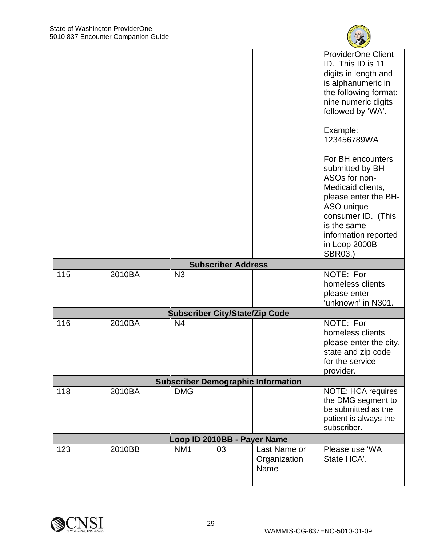|     |        |                                       |                           |                                           | <b>ProviderOne Client</b><br>ID. This ID is 11<br>digits in length and<br>is alphanumeric in<br>the following format:<br>nine numeric digits<br>followed by 'WA'.<br>Example:<br>123456789WA<br>For BH encounters<br>submitted by BH- |
|-----|--------|---------------------------------------|---------------------------|-------------------------------------------|---------------------------------------------------------------------------------------------------------------------------------------------------------------------------------------------------------------------------------------|
|     |        |                                       |                           |                                           | ASOs for non-<br>Medicaid clients,<br>please enter the BH-<br>ASO unique<br>consumer ID. (This<br>is the same<br>information reported<br>in Loop 2000B<br><b>SBR03.)</b>                                                              |
|     |        |                                       | <b>Subscriber Address</b> |                                           |                                                                                                                                                                                                                                       |
| 115 | 2010BA | N3                                    |                           |                                           | NOTE: For<br>homeless clients<br>please enter<br>'unknown' in N301.                                                                                                                                                                   |
|     |        | <b>Subscriber City/State/Zip Code</b> |                           |                                           |                                                                                                                                                                                                                                       |
| 116 | 2010BA | N4                                    |                           |                                           | NOTE: For<br>homeless clients<br>please enter the city,<br>state and zip code<br>for the service<br>provider.                                                                                                                         |
|     |        |                                       |                           | <b>Subscriber Demographic Information</b> |                                                                                                                                                                                                                                       |
| 118 | 2010BA | <b>DMG</b>                            |                           |                                           | <b>NOTE: HCA requires</b><br>the DMG segment to<br>be submitted as the<br>patient is always the<br>subscriber.                                                                                                                        |
|     |        | Loop ID 2010BB - Payer Name           |                           |                                           |                                                                                                                                                                                                                                       |
| 123 | 2010BB | NM <sub>1</sub>                       | 03                        | Last Name or<br>Organization<br>Name      | Please use 'WA<br>State HCA'.                                                                                                                                                                                                         |



**CENT**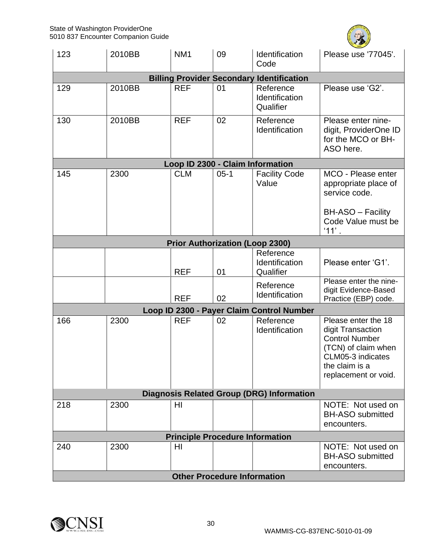

| 123                                              | 2010BB | NM <sub>1</sub>                        | 09     | Identification<br>Code                           | Please use '77045'.                                                                                                                                     |  |  |  |
|--------------------------------------------------|--------|----------------------------------------|--------|--------------------------------------------------|---------------------------------------------------------------------------------------------------------------------------------------------------------|--|--|--|
|                                                  |        |                                        |        | <b>Billing Provider Secondary Identification</b> |                                                                                                                                                         |  |  |  |
| 129                                              | 2010BB | <b>REF</b>                             | 01     | Reference<br>Identification<br>Qualifier         | Please use 'G2'.                                                                                                                                        |  |  |  |
| 130                                              | 2010BB | <b>REF</b>                             | 02     | Reference<br>Identification                      | Please enter nine-<br>digit, ProviderOne ID<br>for the MCO or BH-<br>ASO here.                                                                          |  |  |  |
|                                                  |        | Loop ID 2300 - Claim Information       |        |                                                  |                                                                                                                                                         |  |  |  |
| 145                                              | 2300   | <b>CLM</b>                             | $05-1$ | <b>Facility Code</b><br>Value                    | MCO - Please enter<br>appropriate place of<br>service code.<br>BH-ASO - Facility<br>Code Value must be<br>$'11'$ .                                      |  |  |  |
|                                                  |        | <b>Prior Authorization (Loop 2300)</b> |        |                                                  |                                                                                                                                                         |  |  |  |
|                                                  |        | <b>REF</b>                             | 01     | Reference<br>Identification<br>Qualifier         | Please enter 'G1'.                                                                                                                                      |  |  |  |
|                                                  |        | <b>REF</b>                             | 02     | Reference<br>Identification                      | Please enter the nine-<br>digit Evidence-Based<br>Practice (EBP) code.                                                                                  |  |  |  |
|                                                  |        |                                        |        | Loop ID 2300 - Payer Claim Control Number        |                                                                                                                                                         |  |  |  |
| 166                                              | 2300   | <b>REF</b>                             | 02     | Reference<br>Identification                      | Please enter the 18<br>digit Transaction<br><b>Control Number</b><br>(TCN) of claim when<br>CLM05-3 indicates<br>the claim is a<br>replacement or void. |  |  |  |
| <b>Diagnosis Related Group (DRG) Information</b> |        |                                        |        |                                                  |                                                                                                                                                         |  |  |  |
| 218                                              | 2300   | HI                                     |        |                                                  | NOTE: Not used on<br><b>BH-ASO submitted</b><br>encounters.                                                                                             |  |  |  |
|                                                  |        | <b>Principle Procedure Information</b> |        |                                                  |                                                                                                                                                         |  |  |  |
| 240                                              | 2300   | HI                                     |        |                                                  | NOTE: Not used on<br><b>BH-ASO submitted</b><br>encounters.                                                                                             |  |  |  |
|                                                  |        | <b>Other Procedure Information</b>     |        |                                                  |                                                                                                                                                         |  |  |  |

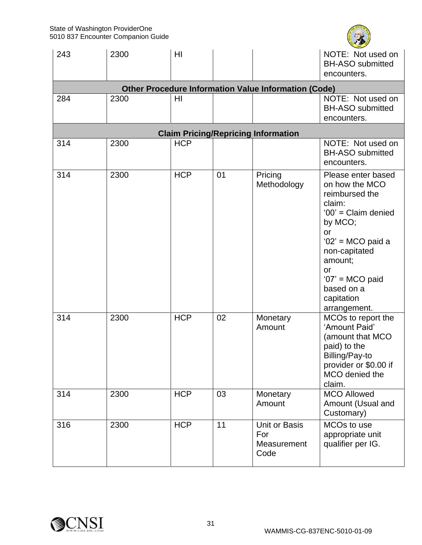

| 243 | 2300                                                        | HI         |    |                                             | NOTE: Not used on<br><b>BH-ASO submitted</b><br>encounters.                                                                                                                                                                               |  |  |  |  |  |  |
|-----|-------------------------------------------------------------|------------|----|---------------------------------------------|-------------------------------------------------------------------------------------------------------------------------------------------------------------------------------------------------------------------------------------------|--|--|--|--|--|--|
|     | <b>Other Procedure Information Value Information (Code)</b> |            |    |                                             |                                                                                                                                                                                                                                           |  |  |  |  |  |  |
| 284 | 2300                                                        | HI         |    |                                             | NOTE: Not used on<br><b>BH-ASO submitted</b><br>encounters.                                                                                                                                                                               |  |  |  |  |  |  |
|     |                                                             |            |    | <b>Claim Pricing/Repricing Information</b>  |                                                                                                                                                                                                                                           |  |  |  |  |  |  |
| 314 | 2300                                                        | <b>HCP</b> |    |                                             | NOTE: Not used on<br><b>BH-ASO submitted</b><br>encounters.                                                                                                                                                                               |  |  |  |  |  |  |
| 314 | 2300                                                        | <b>HCP</b> | 01 | Pricing<br>Methodology                      | Please enter based<br>on how the MCO<br>reimbursed the<br>claim:<br>$'00'$ = Claim denied<br>by MCO;<br><b>or</b><br>'02' = MCO paid a<br>non-capitated<br>amount;<br>or<br>$'07'$ = MCO paid<br>based on a<br>capitation<br>arrangement. |  |  |  |  |  |  |
| 314 | 2300                                                        | <b>HCP</b> | 02 | Monetary<br>Amount                          | MCOs to report the<br>'Amount Paid'<br>(amount that MCO<br>paid) to the<br>Billing/Pay-to<br>provider or \$0.00 if<br>MCO denied the<br>claim.                                                                                            |  |  |  |  |  |  |
| 314 | 2300                                                        | <b>HCP</b> | 03 | Monetary<br>Amount                          | <b>MCO Allowed</b><br>Amount (Usual and<br>Customary)                                                                                                                                                                                     |  |  |  |  |  |  |
| 316 | 2300                                                        | <b>HCP</b> | 11 | Unit or Basis<br>For<br>Measurement<br>Code | MCO <sub>s</sub> to use<br>appropriate unit<br>qualifier per IG.                                                                                                                                                                          |  |  |  |  |  |  |

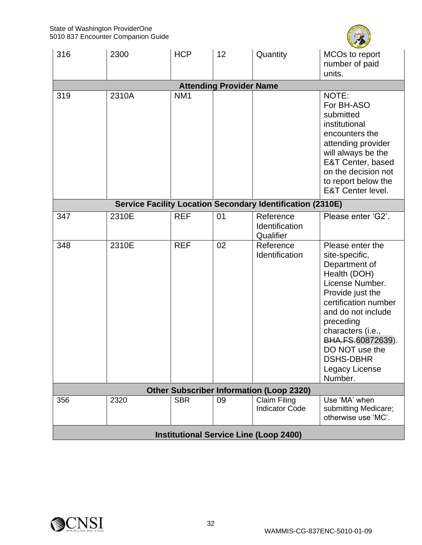

| 316 | 2300  | <b>HCP</b>      | 12                             | Quantity                                                          | MCOs to report<br>number of paid                                                                                                                                                                                                                                                   |
|-----|-------|-----------------|--------------------------------|-------------------------------------------------------------------|------------------------------------------------------------------------------------------------------------------------------------------------------------------------------------------------------------------------------------------------------------------------------------|
|     |       |                 |                                |                                                                   | units.                                                                                                                                                                                                                                                                             |
|     |       |                 | <b>Attending Provider Name</b> |                                                                   |                                                                                                                                                                                                                                                                                    |
| 319 | 2310A | NM <sub>1</sub> |                                |                                                                   | NOTE:<br>For BH-ASO<br>submitted<br>institutional<br>encounters the<br>attending provider<br>will always be the<br>E&T Center, based<br>on the decision not<br>to report below the<br><b>E&amp;T Center level.</b>                                                                 |
|     |       |                 |                                | <b>Service Facility Location Secondary Identification (2310E)</b> |                                                                                                                                                                                                                                                                                    |
| 347 | 2310E | <b>REF</b>      | 01                             | Reference<br>Identification<br>Qualifier                          | Please enter 'G2'.                                                                                                                                                                                                                                                                 |
| 348 | 2310E | <b>REF</b>      | 02                             | Reference<br>Identification                                       | Please enter the<br>site-specific,<br>Department of<br>Health (DOH)<br>License Number.<br>Provide just the<br>certification number<br>and do not include<br>preceding<br>characters (i.e.,<br>BHA.FS.60872639).<br>DO NOT use the<br><b>DSHS-DBHR</b><br>Legacy License<br>Number. |
|     |       |                 |                                | <b>Other Subscriber Information (Loop 2320)</b>                   |                                                                                                                                                                                                                                                                                    |
| 356 | 2320  | <b>SBR</b>      | 09                             | Claim Filing<br><b>Indicator Code</b>                             | Use 'MA' when<br>submitting Medicare;<br>otherwise use 'MC'.                                                                                                                                                                                                                       |
|     |       |                 |                                | <b>Institutional Service Line (Loop 2400)</b>                     |                                                                                                                                                                                                                                                                                    |

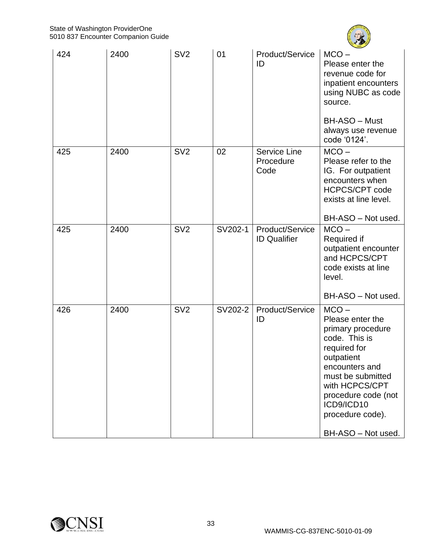

| 424 | 2400 | SV <sub>2</sub> | 01      | Product/Service<br>ID                    | $MCO -$<br>Please enter the<br>revenue code for<br>inpatient encounters<br>using NUBC as code<br>source.<br>BH-ASO - Must<br>always use revenue<br>code '0124'.                                                                         |
|-----|------|-----------------|---------|------------------------------------------|-----------------------------------------------------------------------------------------------------------------------------------------------------------------------------------------------------------------------------------------|
| 425 | 2400 | SV <sub>2</sub> | 02      | <b>Service Line</b><br>Procedure<br>Code | $MCO -$<br>Please refer to the<br>IG. For outpatient<br>encounters when<br><b>HCPCS/CPT code</b><br>exists at line level.<br>BH-ASO - Not used.                                                                                         |
| 425 | 2400 | SV <sub>2</sub> | SV202-1 | Product/Service<br><b>ID Qualifier</b>   | $MCO -$<br>Required if<br>outpatient encounter<br>and HCPCS/CPT<br>code exists at line<br>level.<br>BH-ASO - Not used.                                                                                                                  |
| 426 | 2400 | SV <sub>2</sub> | SV202-2 | Product/Service<br>ID                    | $MCO -$<br>Please enter the<br>primary procedure<br>code. This is<br>required for<br>outpatient<br>encounters and<br>must be submitted<br>with HCPCS/CPT<br>procedure code (not<br>ICD9/ICD10<br>procedure code).<br>BH-ASO - Not used. |

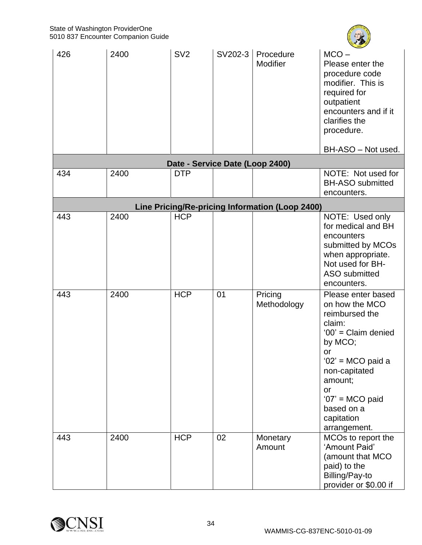

| 426                                             | 2400 | SV <sub>2</sub>                 | SV202-3 | Procedure<br>Modifier  | $MCO -$<br>Please enter the<br>procedure code<br>modifier. This is<br>required for<br>outpatient<br>encounters and if it<br>clarifies the<br>procedure.<br>BH-ASO - Not used.                                                      |  |  |
|-------------------------------------------------|------|---------------------------------|---------|------------------------|------------------------------------------------------------------------------------------------------------------------------------------------------------------------------------------------------------------------------------|--|--|
|                                                 |      | Date - Service Date (Loop 2400) |         |                        |                                                                                                                                                                                                                                    |  |  |
| 434                                             | 2400 | <b>DTP</b>                      |         |                        | NOTE: Not used for<br><b>BH-ASO submitted</b><br>encounters.                                                                                                                                                                       |  |  |
| Line Pricing/Re-pricing Information (Loop 2400) |      |                                 |         |                        |                                                                                                                                                                                                                                    |  |  |
| 443                                             | 2400 | <b>HCP</b>                      |         |                        | NOTE: Used only<br>for medical and BH<br>encounters<br>submitted by MCOs<br>when appropriate.<br>Not used for BH-<br><b>ASO</b> submitted<br>encounters.                                                                           |  |  |
| 443                                             | 2400 | <b>HCP</b>                      | 01      | Pricing<br>Methodology | Please enter based<br>on how the MCO<br>reimbursed the<br>claim:<br>$'00'$ = Claim denied<br>by MCO;<br>or<br>'02' = MCO paid a<br>non-capitated<br>amount;<br>or<br>$'07'$ = MCO paid<br>based on a<br>capitation<br>arrangement. |  |  |
| 443                                             | 2400 | <b>HCP</b>                      | 02      | Monetary<br>Amount     | MCOs to report the<br>'Amount Paid'<br>(amount that MCO<br>paid) to the<br>Billing/Pay-to<br>provider or \$0.00 if                                                                                                                 |  |  |